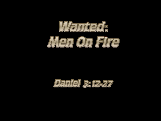

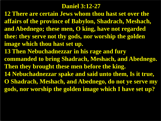#### **Daniel 3:12-27**

**12 There are certain Jews whom thou hast set over the affairs of the province of Babylon, Shadrach, Meshach, and Abednego; these men, O king, have not regarded thee: they serve not thy gods, nor worship the golden image which thou hast set up.**

**13 Then Nebuchadnezzar in his rage and fury commanded to bring Shadrach, Meshach, and Abednego. Then they brought these men before the king. 14 Nebuchadnezzar spake and said unto them, Is it true, O Shadrach, Meshach, and Abednego, do not ye serve my** 

**gods, nor worship the golden image which I have set up?**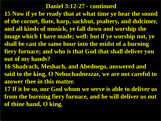**15 Now if ye be ready that at what time ye hear the sound of the cornet, flute, harp, sackbut, psaltery, and dulcimer, and all kinds of musick, ye fall down and worship the image which I have made; well: but if ye worship not, ye shall be cast the same hour into the midst of a burning fiery furnace; and who is that God that shall deliver you out of my hands?**

**16 Shadrach, Meshach, and Abednego, answered and said to the king, O Nebuchadnezzar, we are not careful to answer thee in this matter.**

**17 If it be so, our God whom we serve is able to deliver us from the burning fiery furnace, and he will deliver us out of thine hand, O king.**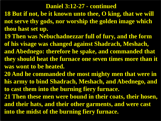- **18 But if not, be it known unto thee, O king, that we will not serve thy gods, nor worship the golden image which thou hast set up.**
- **19 Then was Nebuchadnezzar full of fury, and the form of his visage was changed against Shadrach, Meshach, and Abednego: therefore he spake, and commanded that**
- **they should heat the furnace one seven times more than it was wont to be heated.**
- **20 And he commanded the most mighty men that were in his army to bind Shadrach, Meshach, and Abednego, and to cast them into the burning fiery furnace.**
- **21 Then these men were bound in their coats, their hosen, and their hats, and their other garments, and were cast into the midst of the burning fiery furnace.**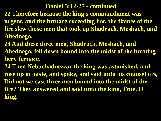- **22 Therefore because the king's commandment was urgent, and the furnace exceeding hot, the flames of the fire slew those men that took up Shadrach, Meshach, and Abednego.**
- **23 And these three men, Shadrach, Meshach, and Abednego, fell down bound into the midst of the burning fiery furnace.**
- **24 Then Nebuchadnezzar the king was astonished, and rose up in haste, and spake, and said unto his counsellors, Did not we cast three men bound into the midst of the fire? They answered and said unto the king, True, O king.**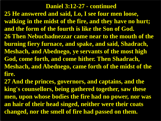- **25 He answered and said, Lo, I see four men loose, walking in the midst of the fire, and they have no hurt; and the form of the fourth is like the Son of God. 26 Then Nebuchadnezzar came near to the mouth of the burning fiery furnace, and spake, and said, Shadrach, Meshach, and Abednego, ye servants of the most high God, come forth, and come hither. Then Shadrach, Meshach, and Abednego, came forth of the midst of the fire.**
- **27 And the princes, governors, and captains, and the king's counsellors, being gathered together, saw these men, upon whose bodies the fire had no power, nor was an hair of their head singed, neither were their coats changed, nor the smell of fire had passed on them.**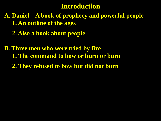## **Introduction**

**A. Daniel – A book of prophecy and powerful people 1. An outline of the ages**

 **2. Also a book about people**

**B. Three men who were tried by fire 1. The command to bow or burn or burn 2. They refused to bow but did not burn**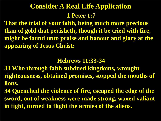## **1 Peter 1:7 Consider A Real Life Application**

**That the trial of your faith, being much more precious than of gold that perisheth, though it be tried with fire, might be found unto praise and honour and glory at the appearing of Jesus Christ:**

#### **Hebrews 11:33-34**

- **33 Who through faith subdued kingdoms, wrought righteousness, obtained promises, stopped the mouths of lions.**
- **34 Quenched the violence of fire, escaped the edge of the sword, out of weakness were made strong, waxed valiant in fight, turned to flight the armies of the aliens.**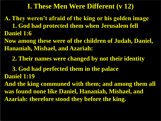#### **I. These Men Were Different (v 12)**

**A. They weren't afraid of the king or his golden image 1. God had protected them when Jerusalem fell Daniel 1:6**

**Now among these were of the children of Judah, Daniel, Hananiah, Mishael, and Azariah:**

 **2. Their names were changed by not their identity** 

 **3. God had perfected them in the palace Daniel 1:19**

**And the king communed with them; and among them all was found none like Daniel, Hananiah, Mishael, and Azariah: therefore stood they before the king.**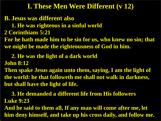### **I. These Men Were Different (v 12)**

**B. Jesus was different also** 

- **1. He was righteous in a sinful world**
- **2 Corinthians 5:21**

**For he hath made him to be sin for us, who knew no sin; that we might be made the righteousness of God in him.**

## **2. He was the light of a dark world**

**John 8:12**

**Then spake Jesus again unto them, saying, I am the light of the world: he that followeth me shall not walk in darkness, but shall have the light of life.** 

 **3. He demanded a different life from His followers Luke 9:23 And he said to them all, If any man will come after me, let** 

**him deny himself, and take up his cross daily, and follow me.**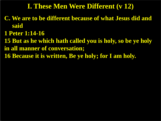## **I. These Men Were Different (v 12)**

- **C. We are to be different because of what Jesus did and said**
- **1 Peter 1:14-16**
- **15 But as he which hath called you is holy, so be ye holy in all manner of conversation;**
- **16 Because it is written, Be ye holy; for I am holy.**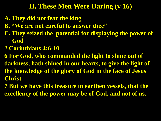## **II. These Men Were Daring (v 16)**

- **A. They did not fear the king**
- **B. "We are not careful to answer thee"**
- **C. They seized the potential for displaying the power of God**
- **2 Corinthians 4:6-10**
- **6 For God, who commanded the light to shine out of darkness, hath shined in our hearts, to give the light of the knowledge of the glory of God in the face of Jesus Christ.**
- **7 But we have this treasure in earthen vessels, that the excellency of the power may be of God, and not of us.**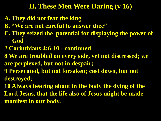## **II. These Men Were Daring (v 16)**

- **A. They did not fear the king**
- **B. "We are not careful to answer thee"**
- **C. They seized the potential for displaying the power of God**
- **2 Corinthians 4:6-10 - continued**
- **8 We are troubled on every side, yet not distressed; we are perplexed, but not in despair;**
- **9 Persecuted, but not forsaken; cast down, but not destroyed;**
- **10 Always bearing about in the body the dying of the Lord Jesus, that the life also of Jesus might be made manifest in our body.**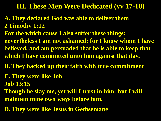### **III. These Men Were Dedicated (vv 17-18)**

- **A. They declared God was able to deliver them 2 Timothy 1:12**
- **For the which cause I also suffer these things: nevertheless I am not ashamed: for I know whom I have believed, and am persuaded that he is able to keep that which I have committed unto him against that day.**
- **B. They backed up their faith with true commitment**
- **C. They were like Job**
- **Job 13:15**
- **Though he slay me, yet will I trust in him: but I will maintain mine own ways before him.**
- **D. They were like Jesus in Gethsemane**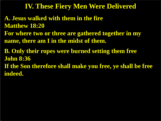#### **IV. These Fiery Men Were Delivered**

**A. Jesus walked with them in the fire Matthew 18:20 For where two or three are gathered together in my** 

**name, there am I in the midst of them.**

**B. Only their ropes were burned setting them free John 8:36 If the Son therefore shall make you free, ye shall be free indeed.**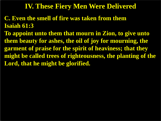#### **IV. These Fiery Men Were Delivered**

- **C. Even the smell of fire was taken from them Isaiah 61:3**
- **To appoint unto them that mourn in Zion, to give unto them beauty for ashes, the oil of joy for mourning, the garment of praise for the spirit of heaviness; that they might be called trees of righteousness, the planting of the Lord, that he might be glorified.**